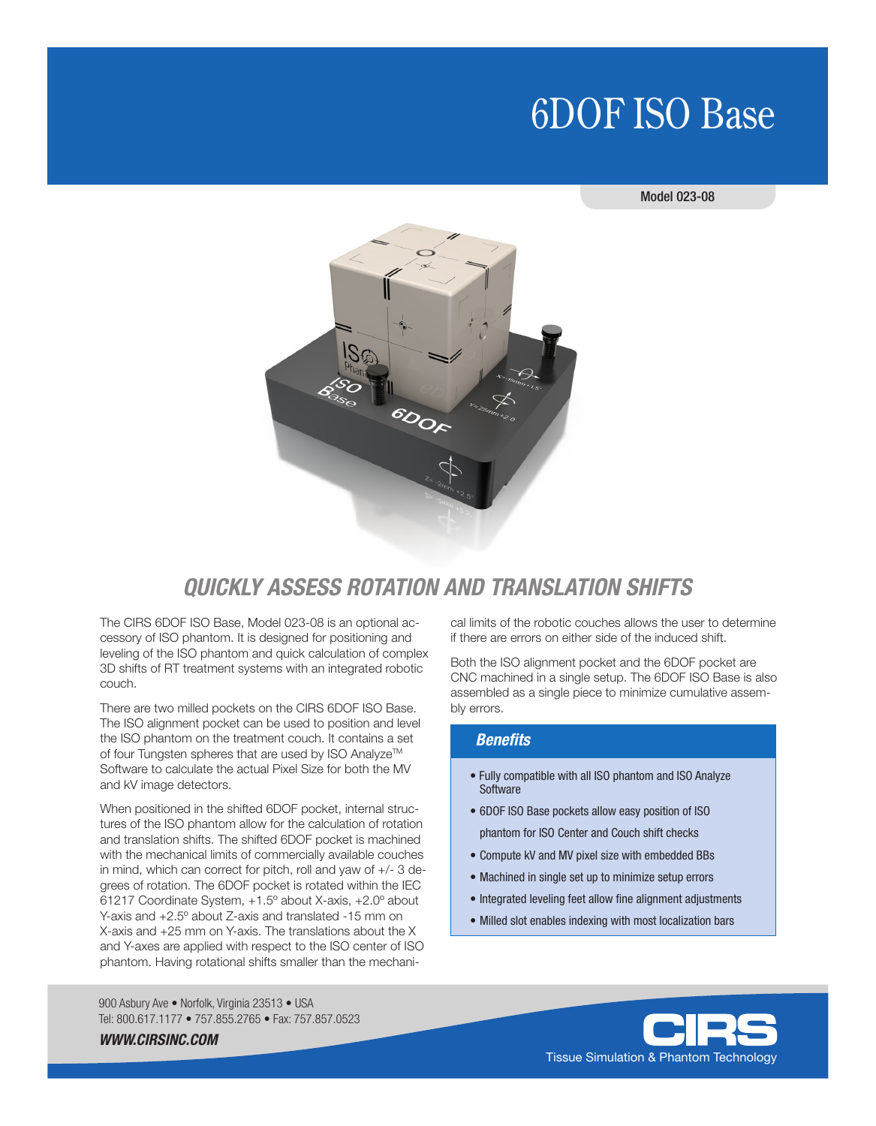## 6DOF ISO Base

Model 023-08



### *QUICKLY ASSESS ROTATION AND TRANSLATION SHIFTS*

The CIRS 6DOF ISO Base, Model 023-08 is an optional accessory of ISO phantom. It is designed for positioning and leveling of the ISO phantom and quick calculation of complex 3D shifts of RT treatment systems with an integrated robotic couch.

There are two milled pockets on the CIRS 6DOF ISO Base. The ISO alignment pocket can be used to position and level the ISO phantom on the treatment couch. It contains a set of four Tungsten spheres that are used by ISO Analyze™ Software to calculate the actual Pixel Size for both the MV and kV image detectors.

When positioned in the shifted 6DOF pocket, internal structures of the ISO phantom allow for the calculation of rotation and translation shifts. The shifted 6DOF pocket is machined with the mechanical limits of commercially available couches in mind, which can correct for pitch, roll and yaw of +/- 3 degrees of rotation. The 6DOF pocket is rotated within the IEC 61217 Coordinate System, +1.5º about X-axis, +2.0º about Y-axis and +2.5º about Z-axis and translated -15 mm on X-axis and +25 mm on Y-axis. The translations about the X and Y-axes are applied with respect to the ISO center of ISO phantom. Having rotational shifts smaller than the mechani-

900 Asbury Ave · Norfolk, Virginia 23513 · USA Tel: 800.617.1177 • 757.855.2765 • Fax: 757.857.0523 cal limits of the robotic couches allows the user to determine if there are errors on either side of the induced shift.

Both the ISO alignment pocket and the 6DOF pocket are CNC machined in a single setup. The 6DOF ISO Base is also assembled as a single piece to minimize cumulative assembly errors.

#### *Benefits*

- Fully compatible with all ISO phantom and ISO Analyze **Software**
- 6DOF ISO Base pockets allow easy position of ISO phantom for ISO Center and Couch shift checks
- Compute kV and MV pixel size with embedded BBs
- Machined in single set up to minimize setup errors
- Integrated leveling feet allow fine alignment adjustments
- Milled slot enables indexing with most localization bars





*WWW.CIRSINC.COM*